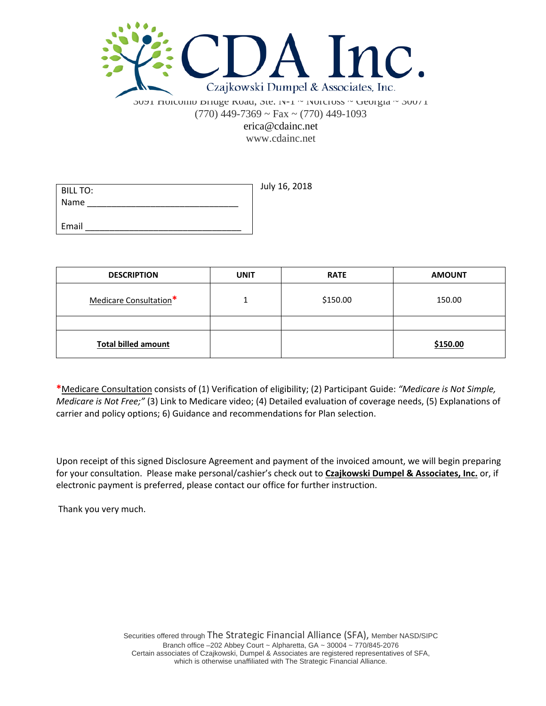

3091 Holcomb Bridge Road, Ste. N-1 ~ Norcross ~ Georgia ~ 30071  $(770)$  449-7369 ~ Fax ~  $(770)$  449-1093 erica@cdainc.net

www.cdainc.net

| <b>BILL TO:</b> | July 16, 2018 |
|-----------------|---------------|
| Name            |               |
|                 |               |
| Email           |               |

| <b>DESCRIPTION</b>         | <b>UNIT</b> | <b>RATE</b> | <b>AMOUNT</b> |
|----------------------------|-------------|-------------|---------------|
| Medicare Consultation*     |             | \$150.00    | 150.00        |
|                            |             |             |               |
| <b>Total billed amount</b> |             |             | \$150.00      |

**\***Medicare Consultation consists of (1) Verification of eligibility; (2) Participant Guide: *"Medicare is Not Simple, Medicare is Not Free;"* (3) Link to Medicare video; (4) Detailed evaluation of coverage needs, (5) Explanations of carrier and policy options; 6) Guidance and recommendations for Plan selection.

Upon receipt of this signed Disclosure Agreement and payment of the invoiced amount, we will begin preparing for your consultation. Please make personal/cashier's check out to **Czajkowski Dumpel & Associates, Inc.** or, if electronic payment is preferred, please contact our office for further instruction.

Thank you very much.